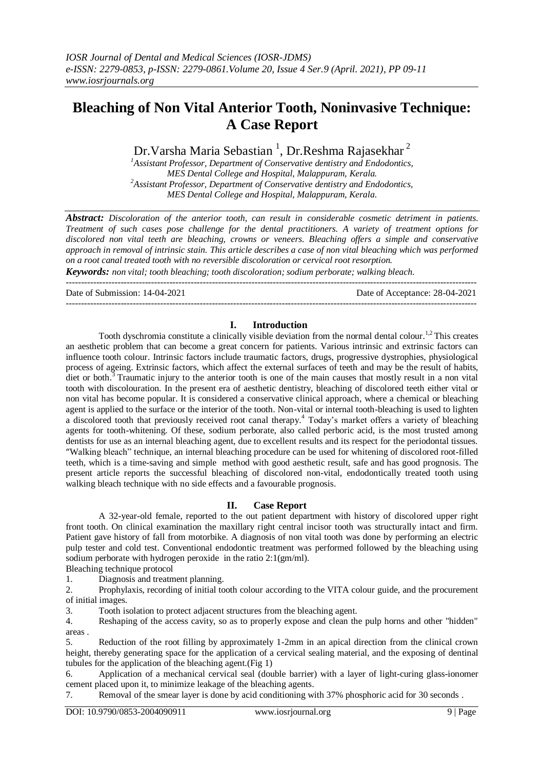# **Bleaching of Non Vital Anterior Tooth, Noninvasive Technique: A Case Report**

Dr.Varsha Maria Sebastian  $^1$ , Dr.Reshma Rajasekhar $^2$ 

*<sup>1</sup>Assistant Professor, Department of Conservative dentistry and Endodontics, MES Dental College and Hospital, Malappuram, Kerala. <sup>2</sup>Assistant Professor, Department of Conservative dentistry and Endodontics, MES Dental College and Hospital, Malappuram, Kerala.*

*Abstract: Discoloration of the anterior tooth, can result in considerable cosmetic detriment in patients. Treatment of such cases pose challenge for the dental practitioners. A variety of treatment options for discolored non vital teeth are bleaching, crowns or veneers. Bleaching offers a simple and conservative approach in removal of intrinsic stain. This article describes a case of non vital bleaching which was performed on a root canal treated tooth with no reversible discoloration or cervical root resorption.*

*Keywords: non vital; tooth bleaching; tooth discoloration; sodium perborate; walking bleach.* ---------------------------------------------------------------------------------------------------------------------------------------

Date of Submission: 14-04-2021 Date of Acceptance: 28-04-2021

## **I. Introduction**

---------------------------------------------------------------------------------------------------------------------------------------

Tooth dyschromia constitute a clinically visible deviation from the normal dental colour.<sup>1,2</sup> This creates an aesthetic problem that can become a great concern for patients. Various intrinsic and extrinsic factors can influence tooth colour. Intrinsic factors include traumatic factors, drugs, progressive dystrophies, physiological process of ageing. Extrinsic factors, which affect the external surfaces of teeth and may be the result of habits, diet or both.<sup>3</sup> Traumatic injury to the anterior tooth is one of the main causes that mostly result in a non vital tooth with discolouration. In the present era of aesthetic dentistry, bleaching of discolored teeth either vital or non vital has become popular. It is considered a conservative clinical approach, where a chemical or bleaching agent is applied to the surface or the interior of the tooth. Non-vital or internal tooth-bleaching is used to lighten a discolored tooth that previously received root canal therapy. <sup>4</sup> Today's market offers a variety of bleaching agents for tooth-whitening. Of these, sodium perborate, also called perboric acid, is the most trusted among dentists for use as an internal bleaching agent, due to excellent results and its respect for the periodontal tissues. "Walking bleach" technique, an internal bleaching procedure can be used for whitening of discolored root-filled teeth, which is a time-saving and simple method with good aesthetic result, safe and has good prognosis. The present article reports the successful bleaching of discolored non-vital, endodontically treated tooth using walking bleach technique with no side effects and a favourable prognosis.

## **II. Case Report**

A 32-year-old female, reported to the out patient department with history of discolored upper right front tooth. On clinical examination the maxillary right central incisor tooth was structurally intact and firm. Patient gave history of fall from motorbike. A diagnosis of non vital tooth was done by performing an electric pulp tester and cold test. Conventional endodontic treatment was performed followed by the bleaching using sodium perborate with hydrogen peroxide in the ratio 2:1(gm/ml).

Bleaching technique protocol

1. Diagnosis and treatment planning.

2. Prophylaxis, recording of initial tooth colour according to the VITA colour guide, and the procurement of initial images.

3. Tooth isolation to protect adjacent structures from the bleaching agent.

4. Reshaping of the access cavity, so as to properly expose and clean the pulp horns and other "hidden" areas .

5. Reduction of the root filling by approximately 1-2mm in an apical direction from the clinical crown height, thereby generating space for the application of a cervical sealing material, and the exposing of dentinal tubules for the application of the bleaching agent.(Fig 1)

6. Application of a mechanical cervical seal (double barrier) with a layer of light-curing glass-ionomer cement placed upon it, to minimize leakage of the bleaching agents.

7. Removal of the smear layer is done by acid conditioning with 37% phosphoric acid for 30 seconds .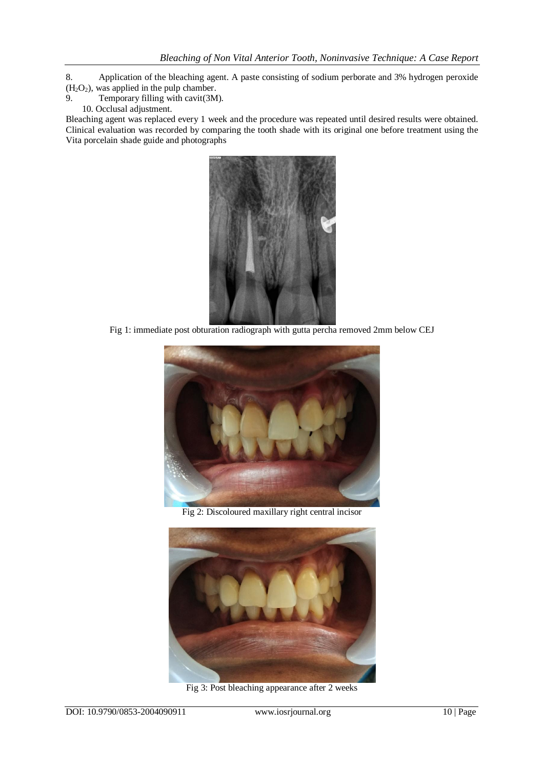- 8. Application of the bleaching agent. A paste consisting of sodium perborate and 3% hydrogen peroxide  $(H_2O_2)$ , was applied in the pulp chamber.<br>9. Temporary filling with cavit(3M
- Temporary filling with cavit(3M).
	- 10. Occlusal adjustment.

Bleaching agent was replaced every 1 week and the procedure was repeated until desired results were obtained. Clinical evaluation was recorded by comparing the tooth shade with its original one before treatment using the Vita porcelain shade guide and photographs



Fig 1: immediate post obturation radiograph with gutta percha removed 2mm below CEJ



Fig 2: Discoloured maxillary right central incisor



Fig 3: Post bleaching appearance after 2 weeks